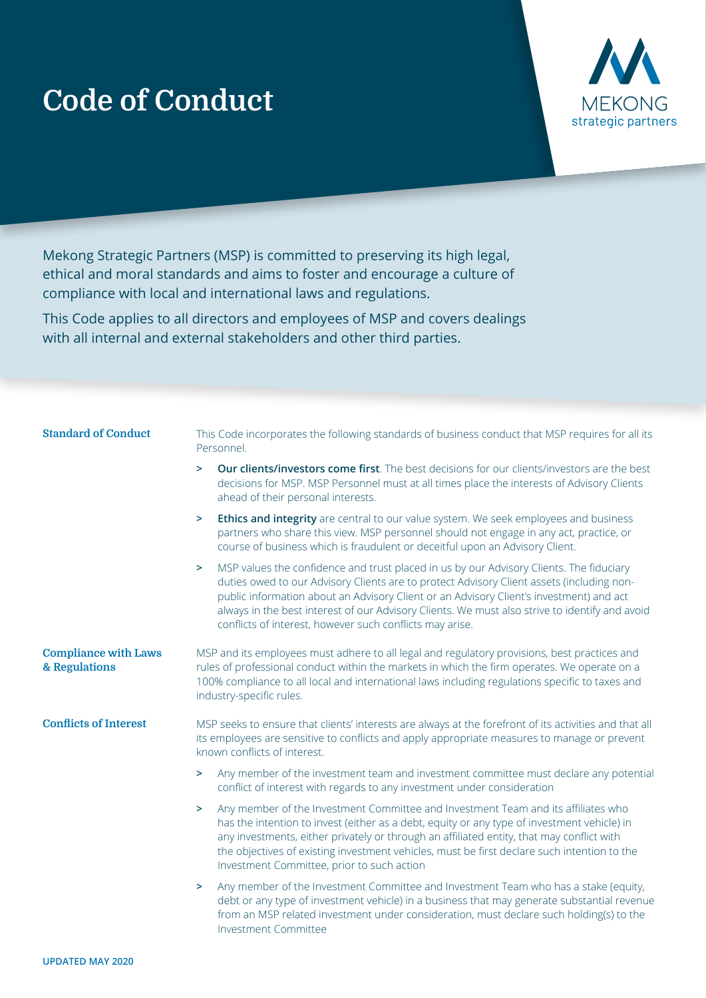## **Code of Conduct**



Mekong Strategic Partners (MSP) is committed to preserving its high legal, ethical and moral standards and aims to foster and encourage a culture of compliance with local and international laws and regulations.

This Code applies to all directors and employees of MSP and covers dealings with all internal and external stakeholders and other third parties.

| <b>Standard of Conduct</b>                   | This Code incorporates the following standards of business conduct that MSP requires for all its<br>Personnel.                                                                                                                                                                                                                                                                                                                                          |
|----------------------------------------------|---------------------------------------------------------------------------------------------------------------------------------------------------------------------------------------------------------------------------------------------------------------------------------------------------------------------------------------------------------------------------------------------------------------------------------------------------------|
|                                              | Our clients/investors come first. The best decisions for our clients/investors are the best<br>$\geq$<br>decisions for MSP. MSP Personnel must at all times place the interests of Advisory Clients<br>ahead of their personal interests.                                                                                                                                                                                                               |
|                                              | Ethics and integrity are central to our value system. We seek employees and business<br>⋗<br>partners who share this view. MSP personnel should not engage in any act, practice, or<br>course of business which is fraudulent or deceitful upon an Advisory Client.                                                                                                                                                                                     |
|                                              | MSP values the confidence and trust placed in us by our Advisory Clients. The fiduciary<br>$\geq$<br>duties owed to our Advisory Clients are to protect Advisory Client assets (including non-<br>public information about an Advisory Client or an Advisory Client's investment) and act<br>always in the best interest of our Advisory Clients. We must also strive to identify and avoid<br>conflicts of interest, however such conflicts may arise. |
| <b>Compliance with Laws</b><br>& Regulations | MSP and its employees must adhere to all legal and regulatory provisions, best practices and<br>rules of professional conduct within the markets in which the firm operates. We operate on a<br>100% compliance to all local and international laws including regulations specific to taxes and<br>industry-specific rules.                                                                                                                             |
| <b>Conflicts of Interest</b>                 | MSP seeks to ensure that clients' interests are always at the forefront of its activities and that all<br>its employees are sensitive to conflicts and apply appropriate measures to manage or prevent<br>known conflicts of interest.                                                                                                                                                                                                                  |
|                                              | Any member of the investment team and investment committee must declare any potential<br>$\geq$<br>conflict of interest with regards to any investment under consideration                                                                                                                                                                                                                                                                              |
|                                              | Any member of the Investment Committee and Investment Team and its affiliates who<br>$\geq$<br>has the intention to invest (either as a debt, equity or any type of investment vehicle) in<br>any investments, either privately or through an affiliated entity, that may conflict with<br>the objectives of existing investment vehicles, must be first declare such intention to the<br>Investment Committee, prior to such action                    |
|                                              | Any member of the Investment Committee and Investment Team who has a stake (equity,<br>$\geq$<br>debt or any type of investment vehicle) in a business that may generate substantial revenue<br>from an MSP related investment under consideration, must declare such holding(s) to the<br><b>Investment Committee</b>                                                                                                                                  |